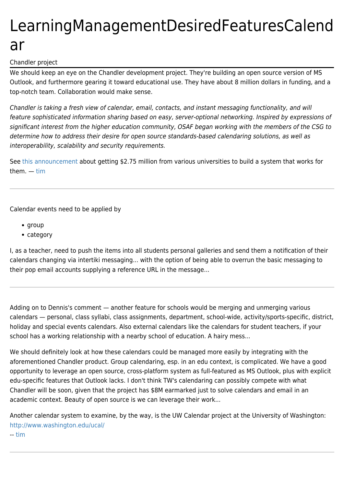## LearningManagementDesiredFeaturesCalend ar

## Chandler project

We should keep an eye on the Chandler development project. They're building an open source version of MS Outlook, and furthermore gearing it toward educational use. They have about 8 million dollars in funding, and a top-notch team. Collaboration would make sense.

Chandler is taking a fresh view of calendar, email, contacts, and instant messaging functionality, and will feature sophisticated information sharing based on easy, server-optional networking. Inspired by expressions of significant interest from the higher education community, OSAF began working with the members of the CSG to determine how to address their desire for open source standards-based calendaring solutions, as well as interoperability, scalability and security requirements.

See [this announcement a](http://www.osafoundation.org/MellonAnnouncement_Sep-26-2003.htm)bout getting \$2.75 million from various universities to build a system that works for them. — [tim](https://tiki.org/UserPageTimMansfield)

Calendar events need to be applied by

- group
- category

I, as a teacher, need to push the items into all students personal galleries and send them a notification of their calendars changing via intertiki messaging... with the option of being able to overrun the basic messaging to their pop email accounts supplying a reference URL in the message...

Adding on to Dennis's comment — another feature for schools would be merging and unmerging various calendars — personal, class syllabi, class assignments, department, school-wide, activity/sports-specific, district, holiday and special events calendars. Also external calendars like the calendars for student teachers, if your school has a working relationship with a nearby school of education. A hairy mess...

We should definitely look at how these calendars could be managed more easily by integrating with the aforementioned Chandler product. Group calendaring, esp. in an edu context, is complicated. We have a good opportunity to leverage an open source, cross-platform system as full-featured as MS Outlook, plus with explicit edu-specific features that Outlook lacks. I don't think TW's calendaring can possibly compete with what Chandler will be soon, given that the project has \$8M earmarked just to solve calendars and email in an academic context. Beauty of open source is we can leverage their work...

Another calendar system to examine, by the way, is the UW Calendar project at the University of Washington: <http://www.washington.edu/ucal/> -- [tim](https://tiki.org/UserPageTimMansfield)